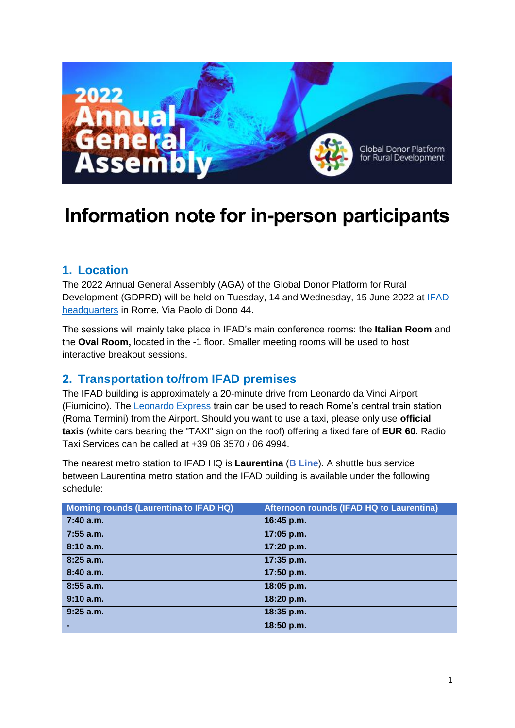

# **Information note for in-person participants**

### **1. Location**

The 2022 Annual General Assembly (AGA) of the Global Donor Platform for Rural Development (GDPRD) will be held on Tuesday, 14 and Wednesday, 15 June 2022 at [IFAD](https://www.ifad.org/en/contact-us)  [headquarters](https://www.ifad.org/en/contact-us) in Rome, Via Paolo di Dono 44.

The sessions will mainly take place in IFAD's main conference rooms: the **Italian Room** and the **Oval Room,** located in the -1 floor. Smaller meeting rooms will be used to host interactive breakout sessions.

### **2. Transportation to/from IFAD premises**

The IFAD building is approximately a 20-minute drive from Leonardo da Vinci Airport (Fiumicino). The [Leonardo Express](https://www.trenitalia.com/en/services/fiumicino_airport.html) train can be used to reach Rome's central train station (Roma Termini) from the Airport. Should you want to use a taxi, please only use **official taxis** (white cars bearing the "TAXI" sign on the roof) offering a fixed fare of **EUR 60.** Radio Taxi Services can be called at +39 06 3570 / 06 4994.

The nearest metro station to IFAD HQ is **Laurentina** (**B Line**). A shuttle bus service between Laurentina metro station and the IFAD building is available under the following schedule:

| Morning rounds (Laurentina to IFAD HQ) | Afternoon rounds (IFAD HQ to Laurentina) |
|----------------------------------------|------------------------------------------|
| $7:40$ a.m.                            | 16:45 p.m.                               |
| $7:55$ a.m.                            | 17:05 p.m.                               |
| 8:10a.m.                               | 17:20 p.m.                               |
| 8:25a.m.                               | 17:35 p.m.                               |
| 8:40a.m.                               | 17:50 p.m.                               |
| 8:55 a.m.                              | 18:05 p.m.                               |
| 9:10 a.m.                              | 18:20 p.m.                               |
| $9:25$ a.m.                            | 18:35 p.m.                               |
|                                        | 18:50 p.m.                               |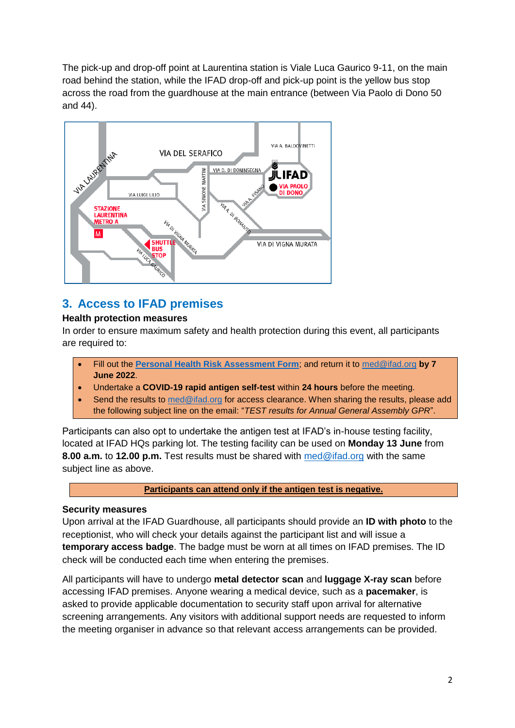The pick-up and drop-off point at Laurentina station is Viale Luca Gaurico 9-11, on the main road behind the station, while the IFAD drop-off and pick-up point is the yellow bus stop across the road from the guardhouse at the main entrance (between Via Paolo di Dono 50 and 44).



# **3. Access to IFAD premises**

#### **Health protection measures**

In order to ensure maximum safety and health protection during this event, all participants are required to:

- Fill out the **[Personal Health Risk Assessment Form](https://www.donorplatform.org/files/content/Personal%20Health%20Risk%20Assessment%20Form_AGA.pdf)**; and return it to [med@ifad.org](mailto:med@ifad.org) **by 7 June 2022**.
- Undertake a **COVID-19 rapid antigen self-test** within **24 hours** before the meeting.
- Send the results to [med@ifad.org](mailto:med@ifad.org) for access clearance. When sharing the results, please add the following subject line on the email: "*TEST results for Annual General Assembly GPR*".

Participants can also opt to undertake the antigen test at IFAD's in-house testing facility, located at IFAD HQs parking lot. The testing facility can be used on **Monday 13 June** from **8.00 a.m.** to **12.00 p.m.** Test results must be shared with [med@ifad.org](mailto:med@ifad.org) with the same subject line as above.

#### **Participants can attend only if the antigen test is negative.**

### **Security measures**

Upon arrival at the IFAD Guardhouse, all participants should provide an **ID with photo** to the receptionist, who will check your details against the participant list and will issue a **temporary access badge**. The badge must be worn at all times on IFAD premises. The ID check will be conducted each time when entering the premises.

All participants will have to undergo **metal detector scan** and **luggage X-ray scan** before accessing IFAD premises. Anyone wearing a medical device, such as a **pacemaker**, is asked to provide applicable documentation to security staff upon arrival for alternative screening arrangements. Any visitors with additional support needs are requested to inform the meeting organiser in advance so that relevant access arrangements can be provided.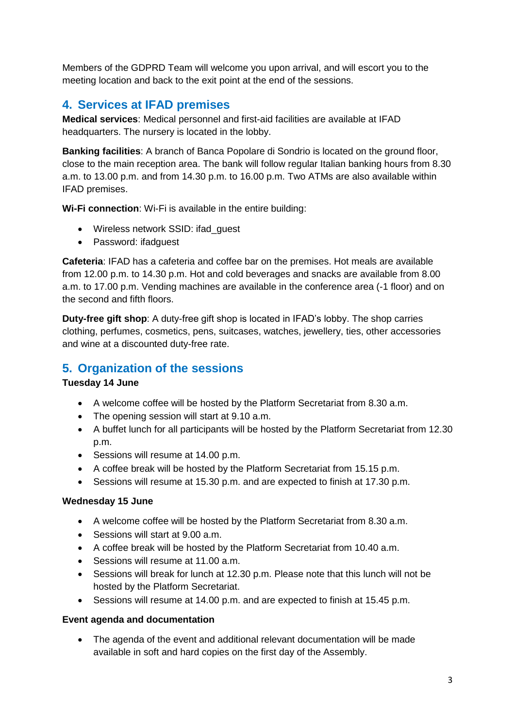Members of the GDPRD Team will welcome you upon arrival, and will escort you to the meeting location and back to the exit point at the end of the sessions.

### **4. Services at IFAD premises**

**Medical services**: Medical personnel and first-aid facilities are available at IFAD headquarters. The nursery is located in the lobby.

**Banking facilities**: A branch of Banca Popolare di Sondrio is located on the ground floor, close to the main reception area. The bank will follow regular Italian banking hours from 8.30 a.m. to 13.00 p.m. and from 14.30 p.m. to 16.00 p.m. Two ATMs are also available within IFAD premises.

**Wi-Fi connection**: Wi-Fi is available in the entire building:

- Wireless network SSID: ifad quest
- Password: ifadquest

**Cafeteria**: IFAD has a cafeteria and coffee bar on the premises. Hot meals are available from 12.00 p.m. to 14.30 p.m. Hot and cold beverages and snacks are available from 8.00 a.m. to 17.00 p.m. Vending machines are available in the conference area (-1 floor) and on the second and fifth floors.

**Duty-free gift shop**: A duty-free gift shop is located in IFAD's lobby. The shop carries clothing, perfumes, cosmetics, pens, suitcases, watches, jewellery, ties, other accessories and wine at a discounted duty-free rate.

### **5. Organization of the sessions**

### **Tuesday 14 June**

- A welcome coffee will be hosted by the Platform Secretariat from 8.30 a.m.
- The opening session will start at 9.10 a.m.
- A buffet lunch for all participants will be hosted by the Platform Secretariat from 12.30 p.m.
- Sessions will resume at 14.00 p.m.
- A coffee break will be hosted by the Platform Secretariat from 15.15 p.m.
- Sessions will resume at 15.30 p.m. and are expected to finish at 17.30 p.m.

### **Wednesday 15 June**

- A welcome coffee will be hosted by the Platform Secretariat from 8.30 a.m.
- Sessions will start at 9.00 a.m.
- A coffee break will be hosted by the Platform Secretariat from 10.40 a.m.
- Sessions will resume at 11.00 a.m.
- Sessions will break for lunch at 12.30 p.m. Please note that this lunch will not be hosted by the Platform Secretariat.
- Sessions will resume at 14.00 p.m. and are expected to finish at 15.45 p.m.

#### **Event agenda and documentation**

 The agenda of the event and additional relevant documentation will be made available in soft and hard copies on the first day of the Assembly.